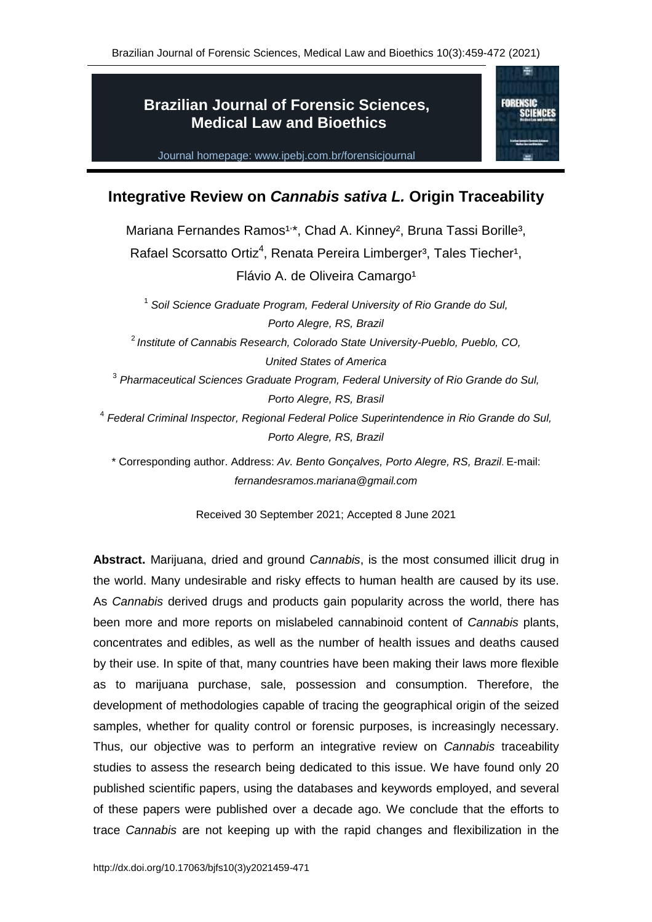**FORENSIC** 

# **Brazilian Journal of Forensic Sciences, Medical Law and Bioethics**

Journal homepage: www.ipebj.com.br/forensicjournal

## **Integrative Review on** *Cannabis sativa L.* **Origin Traceability**

Mariana Fernandes Ramos<sup>1,\*</sup>, Chad A. Kinney<sup>2</sup>, Bruna Tassi Borille<sup>3</sup>, Rafael Scorsatto Ortiz<sup>4</sup>, Renata Pereira Limberger<sup>3</sup>, Tales Tiecher<sup>1</sup>, Flávio A. de Oliveira Camargo<sup>1</sup>

1 *Soil Science Graduate Program, Federal University of Rio Grande do Sul, Porto Alegre, RS, Brazil* 2 *Institute of Cannabis Research, Colorado State University-Pueblo, Pueblo, CO, United States of America* 3 *Pharmaceutical Sciences Graduate Program, Federal University of Rio Grande do Sul, Porto Alegre, RS, Brasil* 4 *Federal Criminal Inspector, Regional Federal Police Superintendence in Rio Grande do Sul, Porto Alegre, RS, Brazil*

\* Corresponding author. Address: *Av. Bento Gonçalves, Porto Alegre, RS, Brazil*. E-mail: *[fernandesramos.mariana@gmail.com](mailto:fernandesramos.mariana@gmail.com)*

Received 30 September 2021; Accepted 8 June 2021

**Abstract.** Marijuana, dried and ground *Cannabis*, is the most consumed illicit drug in the world. Many undesirable and risky effects to human health are caused by its use. As *Cannabis* derived drugs and products gain popularity across the world, there has been more and more reports on mislabeled cannabinoid content of *Cannabis* plants, concentrates and edibles, as well as the number of health issues and deaths caused by their use. In spite of that, many countries have been making their laws more flexible as to marijuana purchase, sale, possession and consumption. Therefore, the development of methodologies capable of tracing the geographical origin of the seized samples, whether for quality control or forensic purposes, is increasingly necessary. Thus, our objective was to perform an integrative review on *Cannabis* traceability studies to assess the research being dedicated to this issue. We have found only 20 published scientific papers, using the databases and keywords employed, and several of these papers were published over a decade ago. We conclude that the efforts to trace *Cannabis* are not keeping up with the rapid changes and flexibilization in the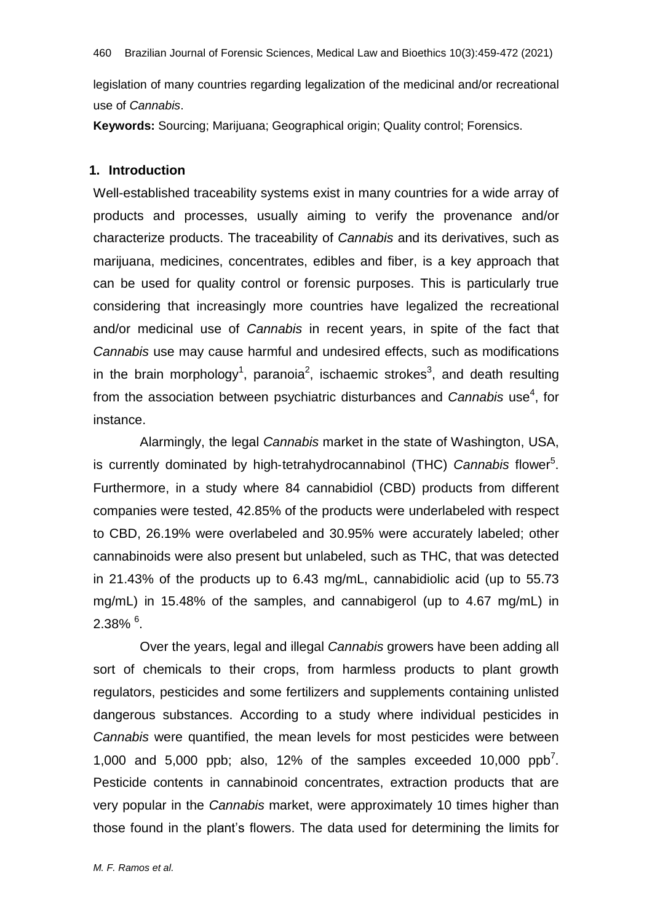legislation of many countries regarding legalization of the medicinal and/or recreational use of *Cannabis*.

**Keywords:** Sourcing; Marijuana; Geographical origin; Quality control; Forensics.

## **1. Introduction**

Well-established traceability systems exist in many countries for a wide array of products and processes, usually aiming to verify the provenance and/or characterize products. The traceability of *Cannabis* and its derivatives, such as marijuana, medicines, concentrates, edibles and fiber, is a key approach that can be used for quality control or forensic purposes. This is particularly true considering that increasingly more countries have legalized the recreational and/or medicinal use of *Cannabis* in recent years, in spite of the fact that *Cannabis* use may cause harmful and undesired effects, such as modifications in the brain morphology<sup>1</sup>, paranoia<sup>2</sup>, ischaemic strokes<sup>3</sup>, and death resulting from the association between psychiatric disturbances and *Cannabis* use<sup>4</sup>, for instance.

Alarmingly, the legal *Cannabis* market in the state of Washington, USA, is currently dominated by high-tetrahydrocannabinol (THC) Cannabis flower<sup>5</sup>. Furthermore, in a study where 84 cannabidiol (CBD) products from different companies were tested, 42.85% of the products were underlabeled with respect to CBD, 26.19% were overlabeled and 30.95% were accurately labeled; other cannabinoids were also present but unlabeled, such as THC, that was detected in 21.43% of the products up to 6.43 mg/mL, cannabidiolic acid (up to 55.73 mg/mL) in 15.48% of the samples, and cannabigerol (up to 4.67 mg/mL) in  $2.38\%$   $^6$ .

Over the years, legal and illegal *Cannabis* growers have been adding all sort of chemicals to their crops, from harmless products to plant growth regulators, pesticides and some fertilizers and supplements containing unlisted dangerous substances. According to a study where individual pesticides in *Cannabis* were quantified, the mean levels for most pesticides were between 1,000 and 5,000 ppb; also, 12% of the samples exceeded 10,000  $ppb^7$ . Pesticide contents in cannabinoid concentrates, extraction products that are very popular in the *Cannabis* market, were approximately 10 times higher than those found in the plant's flowers. The data used for determining the limits for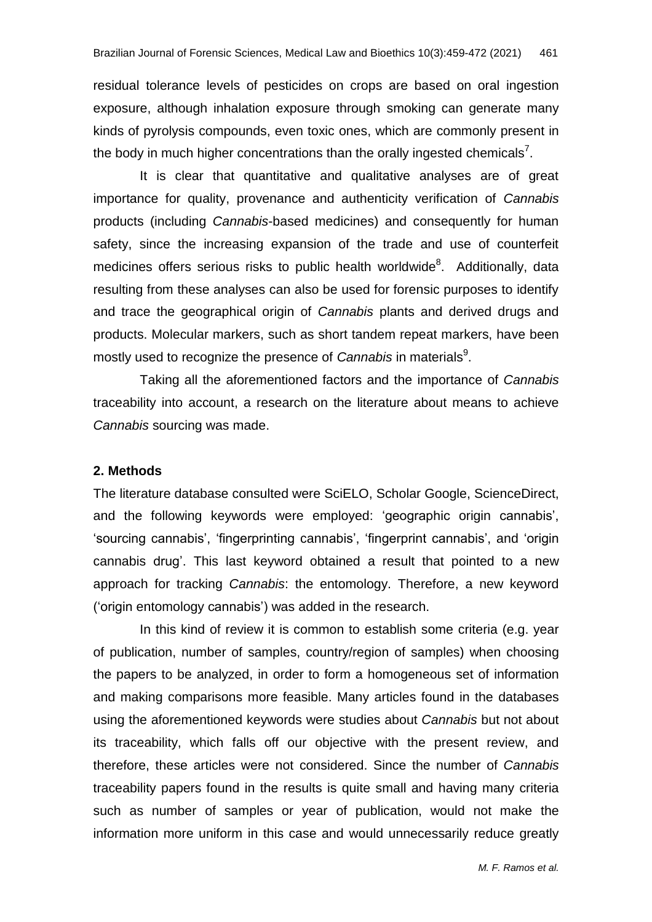residual tolerance levels of pesticides on crops are based on oral ingestion exposure, although inhalation exposure through smoking can generate many kinds of pyrolysis compounds, even toxic ones, which are commonly present in the body in much higher concentrations than the orally ingested chemicals<sup>7</sup>.

It is clear that quantitative and qualitative analyses are of great importance for quality, provenance and authenticity verification of *Cannabis* products (including *Cannabis*-based medicines) and consequently for human safety, since the increasing expansion of the trade and use of counterfeit medicines offers serious risks to public health worldwide<sup>8</sup>. Additionally, data resulting from these analyses can also be used for forensic purposes to identify and trace the geographical origin of *Cannabis* plants and derived drugs and products. Molecular markers, such as short tandem repeat markers, have been mostly used to recognize the presence of *Cannabis* in materials<sup>9</sup>.

Taking all the aforementioned factors and the importance of *Cannabis* traceability into account, a research on the literature about means to achieve *Cannabis* sourcing was made.

#### **2. Methods**

The literature database consulted were SciELO, Scholar Google, ScienceDirect, and the following keywords were employed: 'geographic origin cannabis', 'sourcing cannabis', 'fingerprinting cannabis', 'fingerprint cannabis', and 'origin cannabis drug'. This last keyword obtained a result that pointed to a new approach for tracking *Cannabis*: the entomology. Therefore, a new keyword ('origin entomology cannabis') was added in the research.

In this kind of review it is common to establish some criteria (e.g. year of publication, number of samples, country/region of samples) when choosing the papers to be analyzed, in order to form a homogeneous set of information and making comparisons more feasible. Many articles found in the databases using the aforementioned keywords were studies about *Cannabis* but not about its traceability, which falls off our objective with the present review, and therefore, these articles were not considered. Since the number of *Cannabis* traceability papers found in the results is quite small and having many criteria such as number of samples or year of publication, would not make the information more uniform in this case and would unnecessarily reduce greatly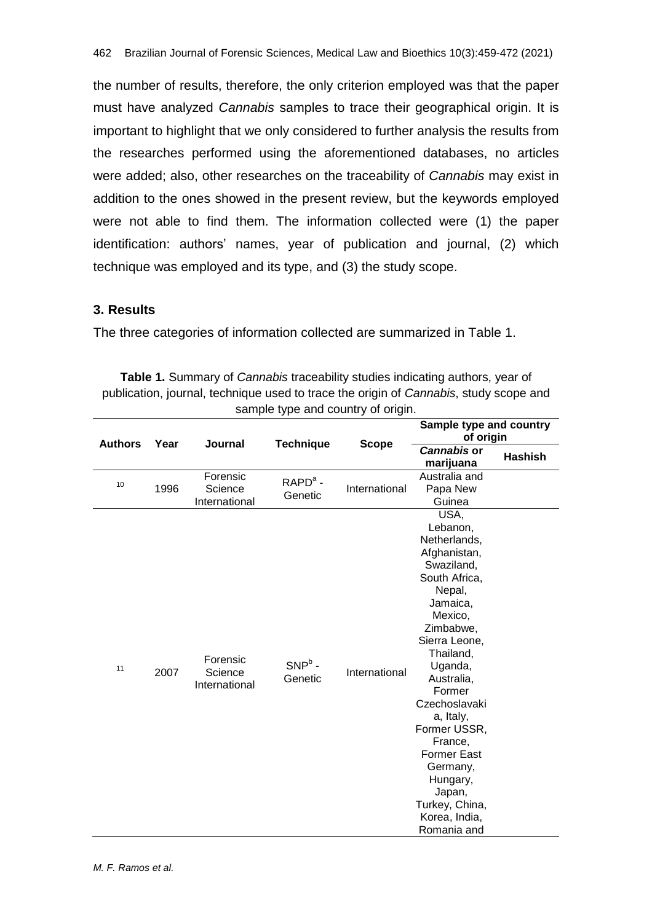the number of results, therefore, the only criterion employed was that the paper must have analyzed *Cannabis* samples to trace their geographical origin. It is important to highlight that we only considered to further analysis the results from the researches performed using the aforementioned databases, no articles were added; also, other researches on the traceability of *Cannabis* may exist in addition to the ones showed in the present review, but the keywords employed were not able to find them. The information collected were (1) the paper identification: authors' names, year of publication and journal, (2) which technique was employed and its type, and (3) the study scope.

## **3. Results**

The three categories of information collected are summarized in Table 1.

| <b>Table 1.</b> Summary of <i>Cannabis</i> traceability studies indicating authors, year of |
|---------------------------------------------------------------------------------------------|
| publication, journal, technique used to trace the origin of Cannabis, study scope and       |
| sample type and country of origin.                                                          |

| <b>Authors</b> | Year | <b>Journal</b>                       | <b>Technique</b>     | <b>Scope</b>  | Sample type and country<br>of origin                                                                                                                                                                                                                                                                                                                              |                |
|----------------|------|--------------------------------------|----------------------|---------------|-------------------------------------------------------------------------------------------------------------------------------------------------------------------------------------------------------------------------------------------------------------------------------------------------------------------------------------------------------------------|----------------|
|                |      |                                      |                      |               | <b>Cannabis or</b><br>marijuana                                                                                                                                                                                                                                                                                                                                   | <b>Hashish</b> |
| 10             | 1996 | Forensic<br>Science<br>International | $RAPDa$ -<br>Genetic | International | Australia and<br>Papa New<br>Guinea                                                                                                                                                                                                                                                                                                                               |                |
| 11             | 2007 | Forensic<br>Science<br>International | $SNPb$ -<br>Genetic  | International | USA,<br>Lebanon,<br>Netherlands,<br>Afghanistan,<br>Swaziland,<br>South Africa,<br>Nepal,<br>Jamaica,<br>Mexico,<br>Zimbabwe,<br>Sierra Leone,<br>Thailand,<br>Uganda,<br>Australia,<br>Former<br>Czechoslavaki<br>a, Italy,<br>Former USSR,<br>France,<br><b>Former East</b><br>Germany,<br>Hungary,<br>Japan,<br>Turkey, China,<br>Korea, India,<br>Romania and |                |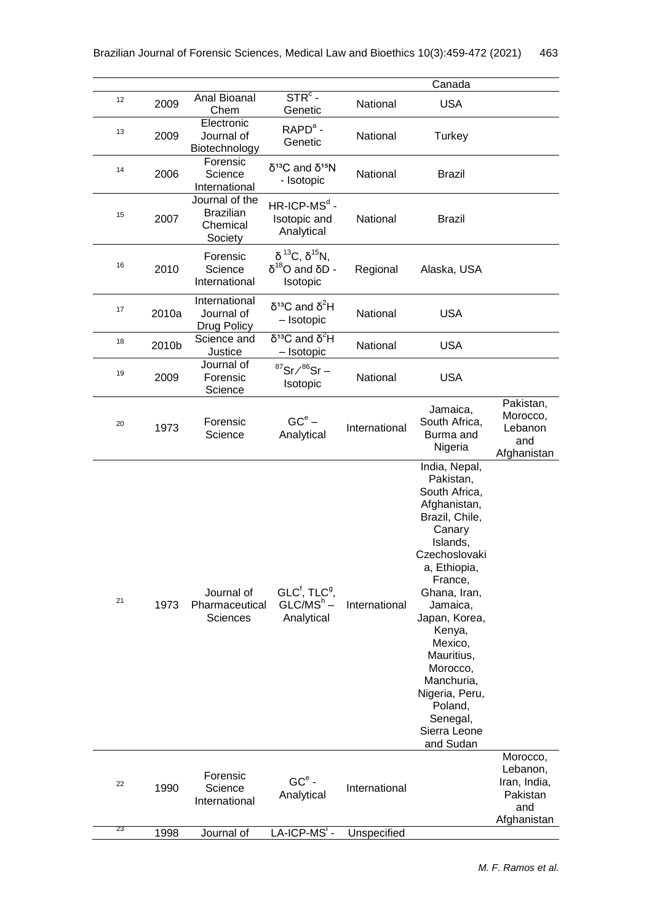|    |       |                                                           |                                                                    |               | Canada                                                                                                                                                                                                                                                                                                                          |                                                                        |
|----|-------|-----------------------------------------------------------|--------------------------------------------------------------------|---------------|---------------------------------------------------------------------------------------------------------------------------------------------------------------------------------------------------------------------------------------------------------------------------------------------------------------------------------|------------------------------------------------------------------------|
| 12 | 2009  | Anal Bioanal<br>Chem                                      | $STRc$ -<br>Genetic                                                | National      | <b>USA</b>                                                                                                                                                                                                                                                                                                                      |                                                                        |
| 13 | 2009  | Electronic<br>Journal of<br>Biotechnology                 | $RAPDa$ -<br>Genetic                                               | National      | Turkey                                                                                                                                                                                                                                                                                                                          |                                                                        |
| 14 | 2006  | Forensic<br>Science<br>International                      | $δ13C$ and $δ15N$<br>- Isotopic                                    | National      | <b>Brazil</b>                                                                                                                                                                                                                                                                                                                   |                                                                        |
| 15 | 2007  | Journal of the<br><b>Brazilian</b><br>Chemical<br>Society | $HR$ -ICP-MS <sup>d</sup> -<br>Isotopic and<br>Analytical          | National      | <b>Brazil</b>                                                                                                                                                                                                                                                                                                                   |                                                                        |
| 16 | 2010  | Forensic<br>Science<br>International                      | $δ^{13}C, δ^{15}N,$<br>$\delta^{18}$ Ο and δD -<br>Isotopic        | Regional      | Alaska, USA                                                                                                                                                                                                                                                                                                                     |                                                                        |
| 17 | 2010a | International<br>Journal of<br>Drug Policy                | $δ13C$ and $δ2H$<br>- Isotopic                                     | National      | <b>USA</b>                                                                                                                                                                                                                                                                                                                      |                                                                        |
| 18 | 2010b | Science and<br>Justice                                    | $\delta^{13}$ C and $\delta^2$ H<br>- Isotopic                     | National      | <b>USA</b>                                                                                                                                                                                                                                                                                                                      |                                                                        |
| 19 | 2009  | Journal of<br>Forensic<br>Science                         | $87$ Sr $\bigtriangleup^{86}$ Sr –<br>Isotopic                     | National      | <b>USA</b>                                                                                                                                                                                                                                                                                                                      |                                                                        |
| 20 | 1973  | Forensic<br>Science                                       | $GCe$ –<br>Analytical                                              | International | Jamaica,<br>South Africa,<br>Burma and<br>Nigeria                                                                                                                                                                                                                                                                               | Pakistan,<br>Morocco,<br>Lebanon<br>and<br>Afghanistan                 |
| 21 | 1973  | Journal of<br>Pharmaceutical<br><b>Sciences</b>           | GLC <sup>f</sup> , TLC <sup>9</sup> ,<br>$GLC/MSh$ –<br>Analytical | International | India, Nepal,<br>Pakistan,<br>South Africa,<br>Afghanistan,<br>Brazil, Chile,<br>Canary<br>Islands,<br>Czechoslovaki<br>a, Ethiopia,<br>France,<br>Ghana, Iran,<br>Jamaica,<br>Japan, Korea,<br>Kenya,<br>Mexico,<br>Mauritius,<br>Morocco,<br>Manchuria,<br>Nigeria, Peru,<br>Poland,<br>Senegal,<br>Sierra Leone<br>and Sudan |                                                                        |
| 22 | 1990  | Forensic<br>Science<br>International                      | $GCe$ -<br>Analytical                                              | International |                                                                                                                                                                                                                                                                                                                                 | Morocco,<br>Lebanon,<br>Iran, India,<br>Pakistan<br>and<br>Afghanistan |
| 23 | 1998  | Journal of                                                | LA-ICP-MS'-                                                        | Unspecified   |                                                                                                                                                                                                                                                                                                                                 |                                                                        |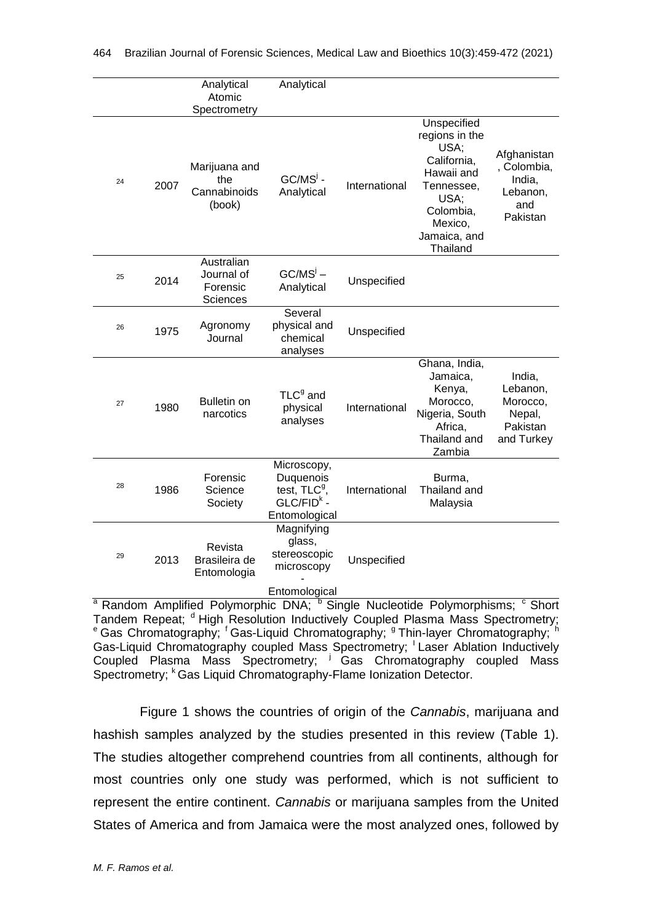|    |      | Analytical<br>Atomic<br>Spectrometry             | Analytical                                                                  |               |                                                                                                                                              |                                                                     |
|----|------|--------------------------------------------------|-----------------------------------------------------------------------------|---------------|----------------------------------------------------------------------------------------------------------------------------------------------|---------------------------------------------------------------------|
| 24 | 2007 | Marijuana and<br>the<br>Cannabinoids<br>(book)   | $GC/MSj$ -<br>Analytical                                                    | International | Unspecified<br>regions in the<br>USA;<br>California,<br>Hawaii and<br>Tennessee,<br>USA;<br>Colombia,<br>Mexico,<br>Jamaica, and<br>Thailand | Afghanistan<br>, Colombia,<br>India.<br>Lebanon,<br>and<br>Pakistan |
| 25 | 2014 | Australian<br>Journal of<br>Forensic<br>Sciences | $GC/MSj$ –<br>Analytical                                                    | Unspecified   |                                                                                                                                              |                                                                     |
| 26 | 1975 | Agronomy<br>Journal                              | Several<br>physical and<br>chemical<br>analyses                             | Unspecified   |                                                                                                                                              |                                                                     |
| 27 | 1980 | <b>Bulletin on</b><br>narcotics                  | TLC <sup>9</sup> and<br>physical<br>analyses                                | International | Ghana, India,<br>Jamaica,<br>Kenya,<br>Morocco,<br>Nigeria, South<br>Africa,<br>Thailand and<br>Zambia                                       | India,<br>Lebanon,<br>Morocco,<br>Nepal,<br>Pakistan<br>and Turkey  |
| 28 | 1986 | Forensic<br>Science<br>Society                   | Microscopy,<br>Duquenois<br>test, $TLC9$ ,<br>$GLC/FIDk -$<br>Entomological | International | Burma,<br>Thailand and<br>Malaysia                                                                                                           |                                                                     |
| 29 | 2013 | Revista<br>Brasileira de<br>Entomologia          | Magnifying<br>glass,<br>stereoscopic<br>microscopy<br>Entomological         | Unspecified   |                                                                                                                                              |                                                                     |

<sup>a</sup> Random Amplified Polymorphic DNA; <sup>b</sup> Single Nucleotide Polymorphisms; <sup>c</sup> Short **Random Amplified Polytriorphic Private Coupled Plasma Mass Spectrometry;**<br>Tandem Repeat; <sup>d</sup> High Resolution Inductively Coupled Plasma Mass Spectrometry; <sup>e</sup> Gas Chromatography; <sup>f</sup> Gas-Liquid Chromatography; <sup>9</sup> Thin-layer Chromatography; <sup>h</sup> Gas-Liquid Chromatography coupled Mass Spectrometry; Laser Ablation Inductively Coupled Plasma Mass Spectrometry; <sup>j</sup> Gas Chromatography coupled Mass Spectrometry; K Gas Liquid Chromatography-Flame Ionization Detector.

Figure 1 shows the countries of origin of the *Cannabis*, marijuana and hashish samples analyzed by the studies presented in this review (Table 1). The studies altogether comprehend countries from all continents, although for most countries only one study was performed, which is not sufficient to represent the entire continent. *Cannabis* or marijuana samples from the United States of America and from Jamaica were the most analyzed ones, followed by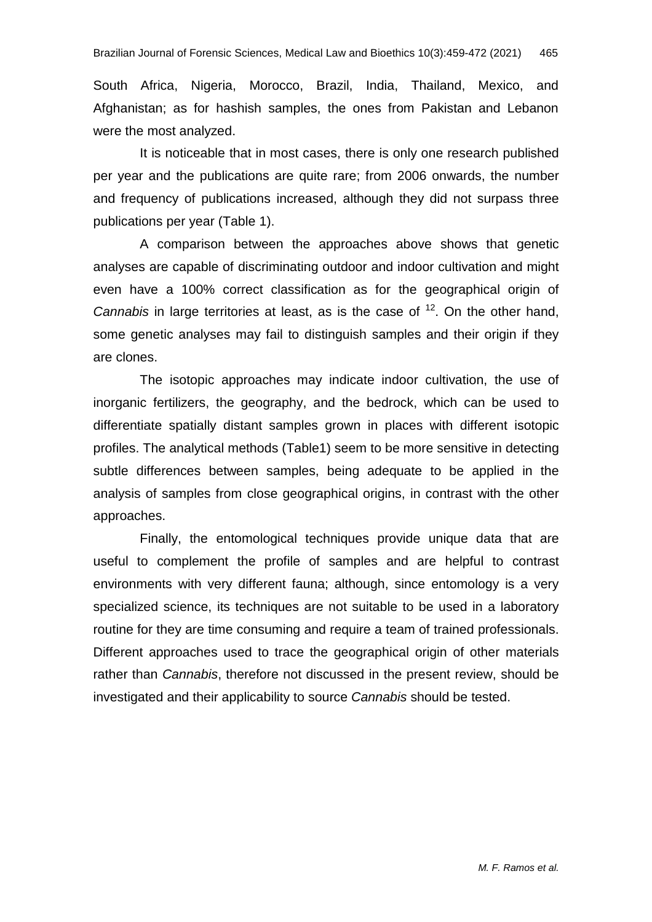South Africa, Nigeria, Morocco, Brazil, India, Thailand, Mexico, and Afghanistan; as for hashish samples, the ones from Pakistan and Lebanon were the most analyzed.

It is noticeable that in most cases, there is only one research published per year and the publications are quite rare; from 2006 onwards, the number and frequency of publications increased, although they did not surpass three publications per year (Table 1).

A comparison between the approaches above shows that genetic analyses are capable of discriminating outdoor and indoor cultivation and might even have a 100% correct classification as for the geographical origin of Cannabis in large territories at least, as is the case of <sup>12</sup>. On the other hand, some genetic analyses may fail to distinguish samples and their origin if they are clones.

The isotopic approaches may indicate indoor cultivation, the use of inorganic fertilizers, the geography, and the bedrock, which can be used to differentiate spatially distant samples grown in places with different isotopic profiles. The analytical methods (Table1) seem to be more sensitive in detecting subtle differences between samples, being adequate to be applied in the analysis of samples from close geographical origins, in contrast with the other approaches.

Finally, the entomological techniques provide unique data that are useful to complement the profile of samples and are helpful to contrast environments with very different fauna; although, since entomology is a very specialized science, its techniques are not suitable to be used in a laboratory routine for they are time consuming and require a team of trained professionals. Different approaches used to trace the geographical origin of other materials rather than *Cannabis*, therefore not discussed in the present review, should be investigated and their applicability to source *Cannabis* should be tested.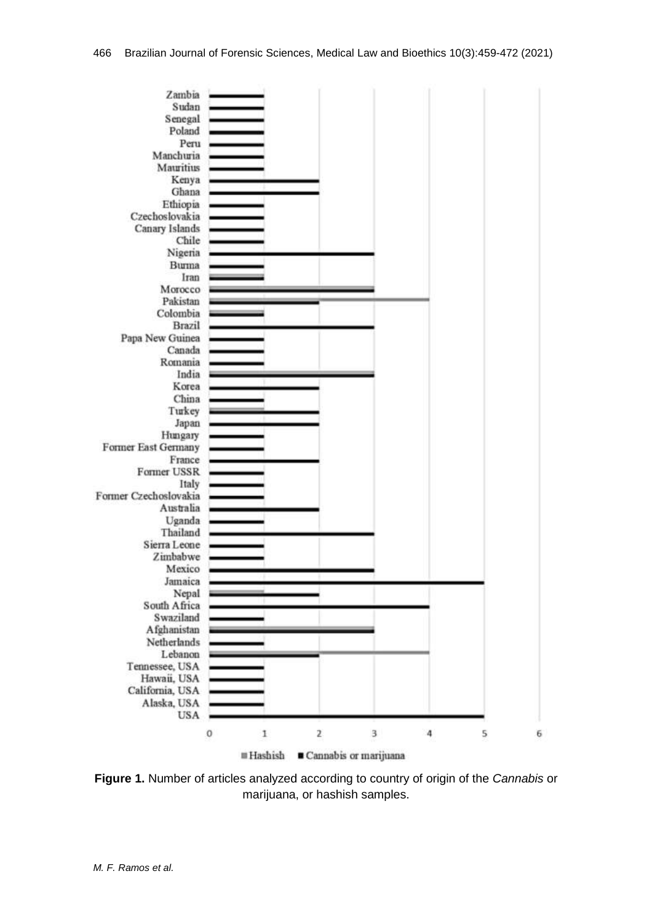

**Figure 1.** Number of articles analyzed according to country of origin of the *Cannabis* or marijuana, or hashish samples.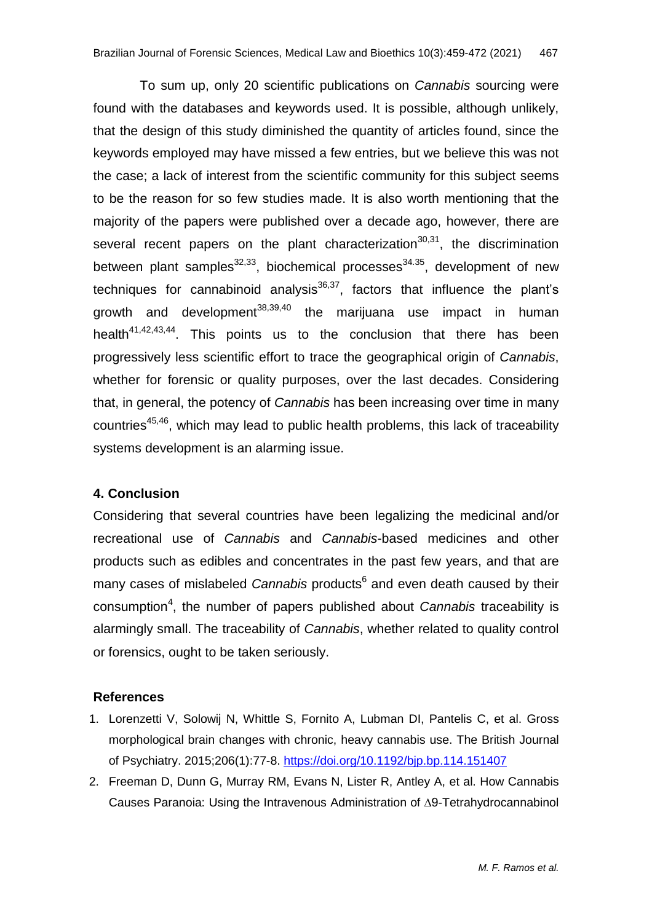To sum up, only 20 scientific publications on *Cannabis* sourcing were found with the databases and keywords used. It is possible, although unlikely, that the design of this study diminished the quantity of articles found, since the keywords employed may have missed a few entries, but we believe this was not the case; a lack of interest from the scientific community for this subject seems to be the reason for so few studies made. It is also worth mentioning that the majority of the papers were published over a decade ago, however, there are several recent papers on the plant characterization<sup>30,31</sup>, the discrimination between plant samples<sup>32,33</sup>, biochemical processes<sup>34.35</sup>, development of new techniques for cannabinoid analysis<sup>36,37</sup>, factors that influence the plant's growth and development<sup>38,39,40</sup> the marijuana use impact in human health<sup>41,42,43,44</sup>. This points us to the conclusion that there has been progressively less scientific effort to trace the geographical origin of *Cannabis*, whether for forensic or quality purposes, over the last decades. Considering that, in general, the potency of *Cannabis* has been increasing over time in many countries<sup>45,46</sup>, which may lead to public health problems, this lack of traceability systems development is an alarming issue.

## **4. Conclusion**

Considering that several countries have been legalizing the medicinal and/or recreational use of *Cannabis* and *Cannabis*-based medicines and other products such as edibles and concentrates in the past few years, and that are many cases of mislabeled *Cannabis* products<sup>6</sup> and even death caused by their consumption<sup>4</sup>, the number of papers published about *Cannabis* traceability is alarmingly small. The traceability of *Cannabis*, whether related to quality control or forensics, ought to be taken seriously.

## **References**

- 1. Lorenzetti V, Solowij N, Whittle S, Fornito A, Lubman DI, Pantelis C, et al. Gross morphological brain changes with chronic, heavy cannabis use. The British Journal of Psychiatry. 2015;206(1):77-8. <https://doi.org/10.1192/bjp.bp.114.151407>
- 2. Freeman D, Dunn G, Murray RM, Evans N, Lister R, Antley A, et al. How Cannabis Causes Paranoia: Using the Intravenous Administration of ∆9-Tetrahydrocannabinol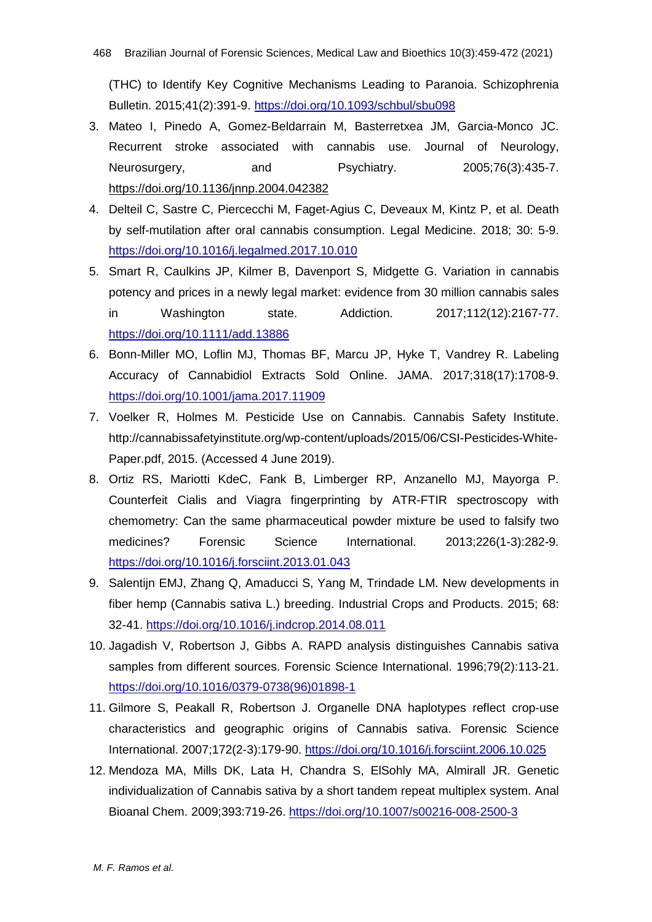(THC) to Identify Key Cognitive Mechanisms Leading to Paranoia. Schizophrenia Bulletin. 2015;41(2):391-9. <https://doi.org/10.1093/schbul/sbu098>

- 3. Mateo I, Pinedo A, Gomez-Beldarrain M, Basterretxea JM, Garcia-Monco JC. Recurrent stroke associated with cannabis use. Journal of Neurology, Neurosurgery, and Psychiatry. 2005;76(3):435-7. <https://doi.org/10.1136/jnnp.2004.042382>
- 4. Delteil C, Sastre C, Piercecchi M, Faget-Agius C, Deveaux M, Kintz P, et al. Death by self-mutilation after oral cannabis consumption. Legal Medicine. 2018; 30: 5-9. <https://doi.org/10.1016/j.legalmed.2017.10.010>
- 5. Smart R, Caulkins JP, Kilmer B, Davenport S, Midgette G. Variation in cannabis potency and prices in a newly legal market: evidence from 30 million cannabis sales in Washington state. Addiction. 2017;112(12):2167-77. <https://doi.org/10.1111/add.13886>
- 6. Bonn-Miller MO, Loflin MJ, Thomas BF, Marcu JP, Hyke T, Vandrey R. Labeling Accuracy of Cannabidiol Extracts Sold Online. JAMA. 2017;318(17):1708-9. <https://doi.org/10.1001/jama.2017.11909>
- 7. Voelker R, Holmes M. Pesticide Use on Cannabis. Cannabis Safety Institute. http://cannabissafetyinstitute.org/wp-content/uploads/2015/06/CSI-Pesticides-White-Paper.pdf, 2015. (Accessed 4 June 2019).
- 8. Ortiz RS, Mariotti KdeC, Fank B, Limberger RP, Anzanello MJ, Mayorga P. Counterfeit Cialis and Viagra fingerprinting by ATR-FTIR spectroscopy with chemometry: Can the same pharmaceutical powder mixture be used to falsify two medicines? Forensic Science International. 2013;226(1-3):282-9. <https://doi.org/10.1016/j.forsciint.2013.01.043>
- 9. Salentijn EMJ, Zhang Q, Amaducci S, Yang M, Trindade LM. New developments in fiber hemp (Cannabis sativa L.) breeding. Industrial Crops and Products. 2015; 68: 32-41. <https://doi.org/10.1016/j.indcrop.2014.08.011>
- 10. Jagadish V, Robertson J, Gibbs A. RAPD analysis distinguishes Cannabis sativa samples from different sources. Forensic Science International. 1996;79(2):113-21. [https://doi.org/10.1016/0379-0738\(96\)01898-1](https://doi.org/10.1016/0379-0738(96)01898-1)
- 11. Gilmore S, Peakall R, Robertson J. Organelle DNA haplotypes reflect crop-use characteristics and geographic origins of Cannabis sativa. Forensic Science International. 2007;172(2-3):179-90. <https://doi.org/10.1016/j.forsciint.2006.10.025>
- 12. Mendoza MA, Mills DK, Lata H, Chandra S, ElSohly MA, Almirall JR. Genetic individualization of Cannabis sativa by a short tandem repeat multiplex system. Anal Bioanal Chem. 2009;393:719-26. <https://doi.org/10.1007/s00216-008-2500-3>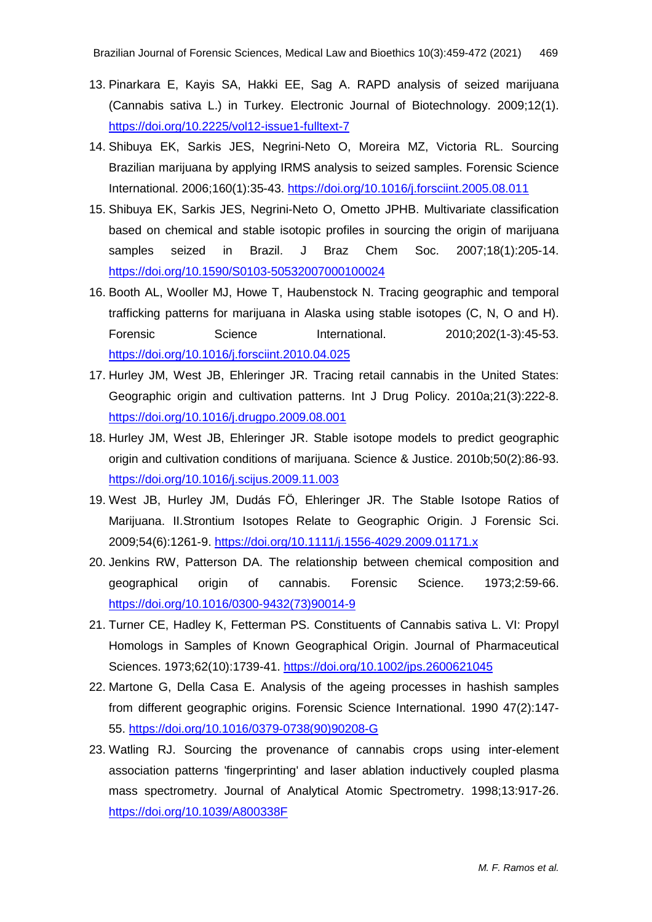- 13. Pinarkara E, Kayis SA, Hakki EE, Sag A. RAPD analysis of seized marijuana (Cannabis sativa L.) in Turkey. Electronic Journal of Biotechnology. 2009;12(1). <https://doi.org/10.2225/vol12-issue1-fulltext-7>
- 14. Shibuya EK, Sarkis JES, Negrini-Neto O, Moreira MZ, Victoria RL. Sourcing Brazilian marijuana by applying IRMS analysis to seized samples. Forensic Science International. 2006;160(1):35-43. <https://doi.org/10.1016/j.forsciint.2005.08.011>
- 15. Shibuya EK, Sarkis JES, Negrini-Neto O, Ometto JPHB. Multivariate classification based on chemical and stable isotopic profiles in sourcing the origin of marijuana samples seized in Brazil. J Braz Chem Soc. 2007;18(1):205-14. <https://doi.org/10.1590/S0103-50532007000100024>
- 16. Booth AL, Wooller MJ, Howe T, Haubenstock N. Tracing geographic and temporal trafficking patterns for marijuana in Alaska using stable isotopes (C, N, O and H). Forensic Science International. 2010;202(1-3):45-53. <https://doi.org/10.1016/j.forsciint.2010.04.025>
- 17. Hurley JM, West JB, Ehleringer JR. Tracing retail cannabis in the United States: Geographic origin and cultivation patterns. Int J Drug Policy. 2010a;21(3):222-8. <https://doi.org/10.1016/j.drugpo.2009.08.001>
- 18. Hurley JM, West JB, Ehleringer JR. Stable isotope models to predict geographic origin and cultivation conditions of marijuana. Science & Justice. 2010b;50(2):86-93. <https://doi.org/10.1016/j.scijus.2009.11.003>
- 19. West JB, Hurley JM, Dudás FÖ, Ehleringer JR. The Stable Isotope Ratios of Marijuana. II.Strontium Isotopes Relate to Geographic Origin. J Forensic Sci. 2009;54(6):1261-9. <https://doi.org/10.1111/j.1556-4029.2009.01171.x>
- 20. Jenkins RW, Patterson DA. The relationship between chemical composition and geographical origin of cannabis. Forensic Science. 1973;2:59-66. [https://doi.org/10.1016/0300-9432\(73\)90014-9](https://doi.org/10.1016/0300-9432(73)90014-9)
- 21. Turner CE, Hadley K, Fetterman PS. Constituents of Cannabis sativa L. VI: Propyl Homologs in Samples of Known Geographical Origin. Journal of Pharmaceutical Sciences. 1973;62(10):1739-41. <https://doi.org/10.1002/jps.2600621045>
- 22. Martone G, Della Casa E. Analysis of the ageing processes in hashish samples from different geographic origins. Forensic Science International. 1990 47(2):147- 55. [https://doi.org/10.1016/0379-0738\(90\)90208-G](https://doi.org/10.1016/0379-0738(90)90208-G)
- 23. Watling RJ. Sourcing the provenance of cannabis crops using inter-element association patterns 'fingerprinting' and laser ablation inductively coupled plasma mass spectrometry. Journal of Analytical Atomic Spectrometry. 1998;13:917-26. <https://doi.org/10.1039/A800338F>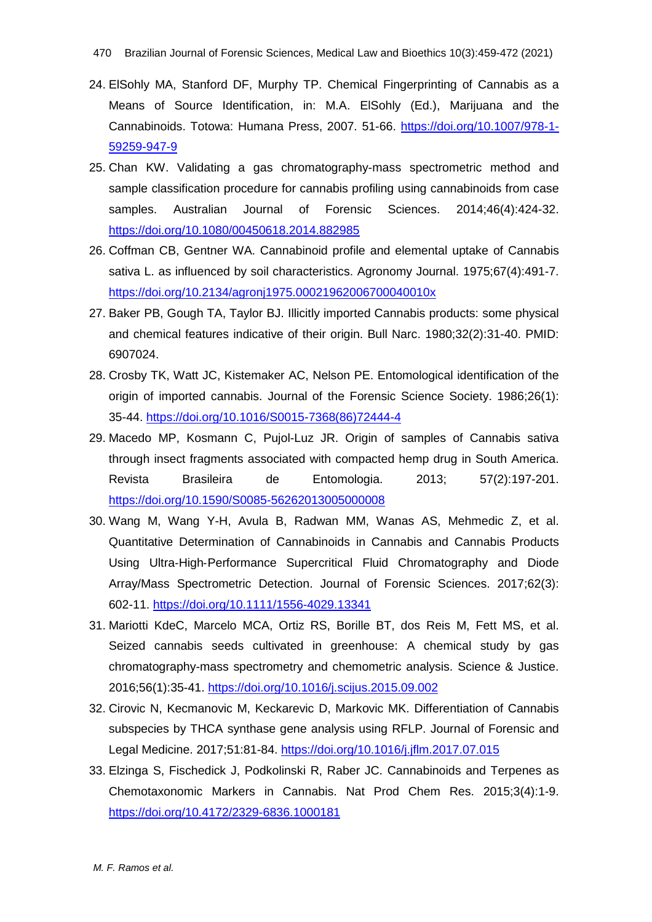- 24. ElSohly MA, Stanford DF, Murphy TP. Chemical Fingerprinting of Cannabis as a Means of Source Identification, in: M.A. ElSohly (Ed.), Marijuana and the Cannabinoids. Totowa: Humana Press, 2007. 51-66. https://doi.org/10.1007/978-1- 59259-947-9
- 25. Chan KW. Validating a gas chromatography-mass spectrometric method and sample classification procedure for cannabis profiling using cannabinoids from case samples. Australian Journal of Forensic Sciences. 2014;46(4):424-32. <https://doi.org/10.1080/00450618.2014.882985>
- 26. Coffman CB, Gentner WA. Cannabinoid profile and elemental uptake of Cannabis sativa L. as influenced by soil characteristics. Agronomy Journal. 1975;67(4):491-7. <https://doi.org/10.2134/agronj1975.00021962006700040010x>
- 27. Baker PB, Gough TA, Taylor BJ. Illicitly imported Cannabis products: some physical and chemical features indicative of their origin. Bull Narc. 1980;32(2):31-40. PMID: 6907024.
- 28. Crosby TK, Watt JC, Kistemaker AC, Nelson PE. Entomological identification of the origin of imported cannabis. Journal of the Forensic Science Society. 1986;26(1): 35-44. [https://doi.org/10.1016/S0015-7368\(86\)72444-4](https://doi.org/10.1016/S0015-7368(86)72444-4)
- 29. Macedo MP, Kosmann C, Pujol-Luz JR. Origin of samples of Cannabis sativa through insect fragments associated with compacted hemp drug in South America. Revista Brasileira de Entomologia. 2013; 57(2):197-201. <https://doi.org/10.1590/S0085-56262013005000008>
- 30. Wang M, Wang Y-H, Avula B, Radwan MM, Wanas AS, Mehmedic Z, et al. Quantitative Determination of Cannabinoids in Cannabis and Cannabis Products Using Ultra‐High‐Performance Supercritical Fluid Chromatography and Diode Array/Mass Spectrometric Detection. Journal of Forensic Sciences. 2017;62(3): 602-11. <https://doi.org/10.1111/1556-4029.13341>
- 31. Mariotti KdeC, Marcelo MCA, Ortiz RS, Borille BT, dos Reis M, Fett MS, et al. Seized cannabis seeds cultivated in greenhouse: A chemical study by gas chromatography-mass spectrometry and chemometric analysis. Science & Justice. 2016;56(1):35-41. <https://doi.org/10.1016/j.scijus.2015.09.002>
- 32. Cirovic N, Kecmanovic M, Keckarevic D, Markovic MK. Differentiation of Cannabis subspecies by THCA synthase gene analysis using RFLP. Journal of Forensic and Legal Medicine. 2017;51:81-84. <https://doi.org/10.1016/j.jflm.2017.07.015>
- 33. Elzinga S, Fischedick J, Podkolinski R, Raber JC. Cannabinoids and Terpenes as Chemotaxonomic Markers in Cannabis. Nat Prod Chem Res. 2015;3(4):1-9. <https://doi.org/10.4172/2329-6836.1000181>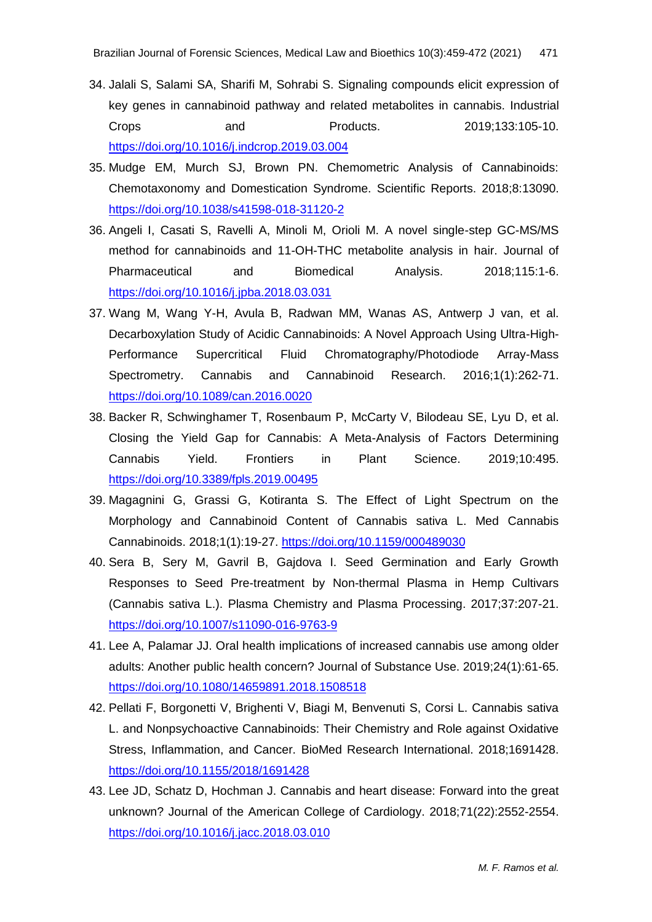- 34. Jalali S, Salami SA, Sharifi M, Sohrabi S. Signaling compounds elicit expression of key genes in cannabinoid pathway and related metabolites in cannabis. Industrial Crops and Products. 2019;133:105-10. <https://doi.org/10.1016/j.indcrop.2019.03.004>
- 35. Mudge EM, Murch SJ, Brown PN. Chemometric Analysis of Cannabinoids: Chemotaxonomy and Domestication Syndrome. Scientific Reports. 2018;8:13090. <https://doi.org/10.1038/s41598-018-31120-2>
- 36. Angeli I, Casati S, Ravelli A, Minoli M, Orioli M. A novel single-step GC-MS/MS method for cannabinoids and 11-OH-THC metabolite analysis in hair. Journal of Pharmaceutical and Biomedical Analysis. 2018;115:1-6. <https://doi.org/10.1016/j.jpba.2018.03.031>
- 37. Wang M, Wang Y-H, Avula B, Radwan MM, Wanas AS, Antwerp J van, et al. Decarboxylation Study of Acidic Cannabinoids: A Novel Approach Using Ultra-High-Performance Supercritical Fluid Chromatography/Photodiode Array-Mass Spectrometry. Cannabis and Cannabinoid Research. 2016;1(1):262-71. <https://doi.org/10.1089/can.2016.0020>
- 38. Backer R, Schwinghamer T, Rosenbaum P, McCarty V, Bilodeau SE, Lyu D, et al. Closing the Yield Gap for Cannabis: A Meta-Analysis of Factors Determining Cannabis Yield. Frontiers in Plant Science. 2019;10:495. <https://doi.org/10.3389/fpls.2019.00495>
- 39. Magagnini G, Grassi G, Kotiranta S. The Effect of Light Spectrum on the Morphology and Cannabinoid Content of Cannabis sativa L. Med Cannabis Cannabinoids. 2018;1(1):19-27. <https://doi.org/10.1159/000489030>
- 40. Sera B, Sery M, Gavril B, Gajdova I. Seed Germination and Early Growth Responses to Seed Pre-treatment by Non-thermal Plasma in Hemp Cultivars (Cannabis sativa L.). Plasma Chemistry and Plasma Processing. 2017;37:207-21. <https://doi.org/10.1007/s11090-016-9763-9>
- 41. Lee A, Palamar JJ. Oral health implications of increased cannabis use among older adults: Another public health concern? Journal of Substance Use. 2019;24(1):61-65. <https://doi.org/10.1080/14659891.2018.1508518>
- 42. Pellati F, Borgonetti V, Brighenti V, Biagi M, Benvenuti S, Corsi L. Cannabis sativa L. and Nonpsychoactive Cannabinoids: Their Chemistry and Role against Oxidative Stress, Inflammation, and Cancer. BioMed Research International. 2018;1691428. <https://doi.org/10.1155/2018/1691428>
- 43. Lee JD, Schatz D, Hochman J. Cannabis and heart disease: Forward into the great unknown? Journal of the American College of Cardiology. 2018;71(22):2552-2554. <https://doi.org/10.1016/j.jacc.2018.03.010>